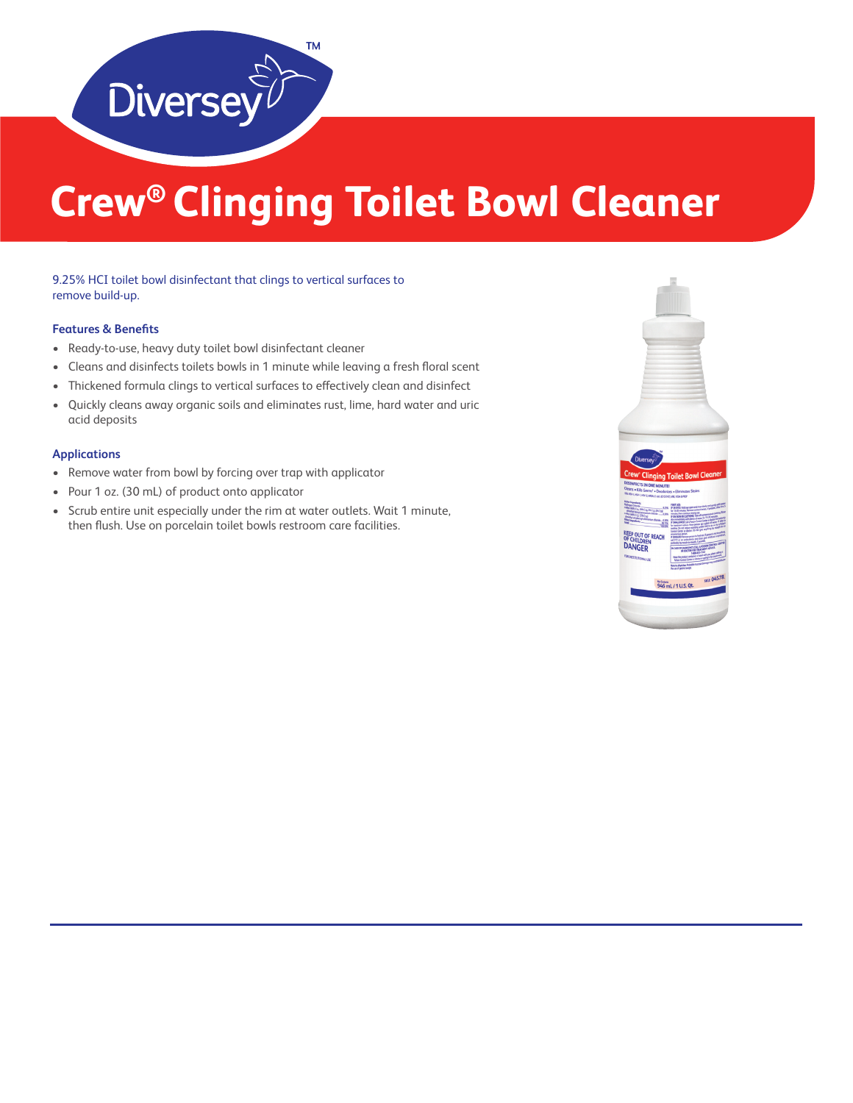

# **Crew® Clinging Toilet Bowl Cleaner**

### 9.25% HCI toilet bowl disinfectant that clings to vertical surfaces to remove build-up.

### **Features & Benefits**

- Ready-to-use, heavy duty toilet bowl disinfectant cleaner
- Cleans and disinfects toilets bowls in 1 minute while leaving a fresh floral scent
- Thickened formula clings to vertical surfaces to effectively clean and disinfect
- Quickly cleans away organic soils and eliminates rust, lime, hard water and uric acid deposits

#### **Applications**

- Remove water from bowl by forcing over trap with applicator
- Pour 1 oz. (30 mL) of product onto applicator
- Scrub entire unit especially under the rim at water outlets. Wait 1 minute, then flush. Use on porcelain toilet bowls restroom care facilities.